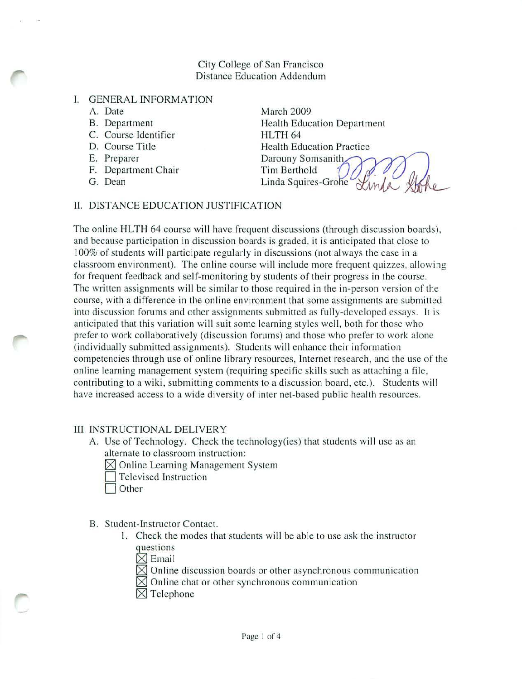#### City College of San Francisco Distance Education Addendum

## I. GENERAL INFORMATION

- A. Date
- B. Dcpartment
- C. Course Identifier
- D. Course Title
- E. Preparer
- F. Department Chair
- G. Dean

March 2009 Health Education Department HLTH 64 Health Education Practicc Darouny Somsanith Tim Berthold Linda Squires-Grohe

## II. DISTANCE EDUCATION JUSTIFICATION

The online **HLTH** 64 course will have frequent discussions (through discussion boards), and because participation in discussion boards is graded, it is anticipatcd that close to 100% of students will participate regularly in discussions (not always the case in a classroom environment). The online course will include more frequent quizzes, allowing for frequent feedback and self-monitoring by students of their progress in the course. The written assignments will be similar to those required in the in-person version of the course, with a difference in the online environment that some assignments are submitted into discussion forums and other assignments submitted as fully-developed essays. It is anticipated that this variation will suit some learning styles well, both for those who prefer to work collaboratively (discussion forums) and those who prefer to work alone (individually submitted assignments). Students will enhance their information competencies through usc of onlinc library resources, Internet research, and the use of the online learning management system (requiring specific skills such as attaching a file, contributing to a wiki, submitting comments to a discussion board, etc.). Studcnts will have increased access to a wide diversity of inter net-based public health resources.

## III. INSTRUCTIONAL DELIVERY

- A. Use of Technology. Check the technology(ies) that students will use as an alternate to classroom instruction:
	- $\boxtimes$  Online Learning Management System
	- Televised Instruction
	- Other

## B. Student-Instructor Contact.

- I. Check the modes that students will be able to use ask the instructor questions
	- $\times$ Email
	- $\boxtimes$  Online discussion boards or other asynchronous communication
	- $\boxtimes$  Online chat or other synchronous communication
	- $\boxtimes$  Telephone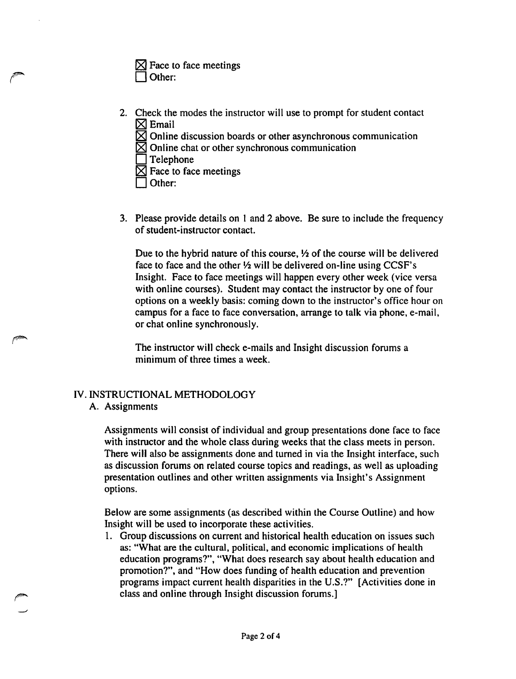|               | $\boxtimes$ Face to face meetings |
|---------------|-----------------------------------|
| $\Box$ Other: |                                   |

- 2. Check the modes the instructor will use to prompt for student contact  $[$\boxtimes$  Email
	- $\boxtimes$  Online discussion boards or other asynchronous communication
	- $\boxtimes$  Online chat or other synchronous communication
	- $\Box$  Telephone
	- $\boxtimes$  Face to face meetings
	- Other:

(~

3. Please provide details on I and 2 above. Be sure to include the frequency of student-instructor contact.

Due to the hybrid nature of this course,  $\frac{1}{2}$  of the course will be delivered face to face and the other  $\frac{1}{2}$  will be delivered on-line using CCSF's Insight. Face to face meetings will happen every other week (vice versa with online courses). Student may contact the instructor by one of four options on a weekly basis: coming down to the instructor's office hour on campus for a face to face conversation, arrange to talk via phone, e-mail, or chat online synchronously.

The instructor will check e-mails and Insight discussion forums a minimum of three times a week.

# IV. INSTRUCTIONAL METHODOLOGY

## A. Assignments

Assignments will consist of individual and group presentations done face to face with instructor and the whole class during weeks that the class meets in person. There will also be assignments done and turned in via the Insight interface, such as discussion forums on related course topics and readings, as well as uploading presentation outlines and other written assignments via Insight's Assignment options.

Below are some assignments (as described within the Course Outline) and how Insight will be used to incorporate these activities.

1. Group discussions on current and historical health education on issues such as: "What are the cultural, political, and economic implications of health education programs?", "What does research say about health education and promotion?", and "How does funding of health education and prevention programs impact current health disparities in the U.S.?" [Activities done in class and online through Insight discussion forums.]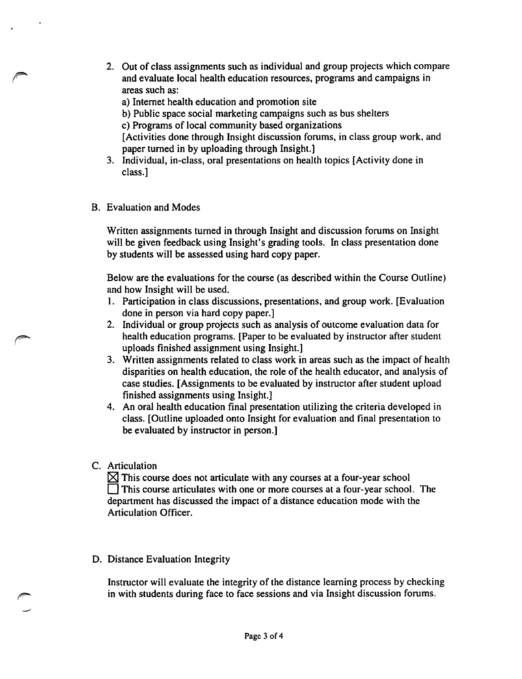- 2. Out of class assignments such as individual and group projects which compare and evaluate local health education resources, programs and campaigns in areas such as:
	- a) Internet health education and promotion site
	- b) Public space social marketing campaigns such as bus shelters
	- c) Programs of local community based organizations

[Activities done through Insight discussion forums, in class group work, and paper turned in by uploading through Insight.]

- 3. Individual, in-class, oral presentations on health topics [Activity done in class.]
- B. Evaluation and Modes

Written assignments turned in through Insight and discussion forums on Insight will be given feedback using Insight's grading tools. In class presentation done by students will be assessed using hard copy paper.

Below are the evaluations for the course (as described within the Course Outline) and how Insight will be used.

- 1. Participation in class discussions, presentations, and group work. [Evaluation done in person via hard copy paper.]
- 2. Individual or group projects such as analysis of outcome evaluation data for health education programs. [Paper to be evaluated by instructor after student uploads finished assignment using Insight.]
- 3. Written assignments related to class work in areas such as the impact of health disparities on health education, the role of the health educator, and analysis of case studies. [Assignments to be evaluated by instructor after student upload finished assignments using Insight.]
- 4. An oral health education final presentation utilizing the criteria developed in class. [Outline uploaded onto Insight for evaluation and final presentation to be evaluated by instructor in person.]
- C. Articulation

 $\boxtimes$  This course does not articulate with any courses at a four-year school  $\Box$  This course articulates with one or more courses at a four-year school. The department has discussed the impact of a distance education mode with the Articulation Officer.

D. Distance Evaluation Integrity

Instructor will evaluate the integrity of the distance learning process by checking in with students during face to face sessions and via Insight discussion forums.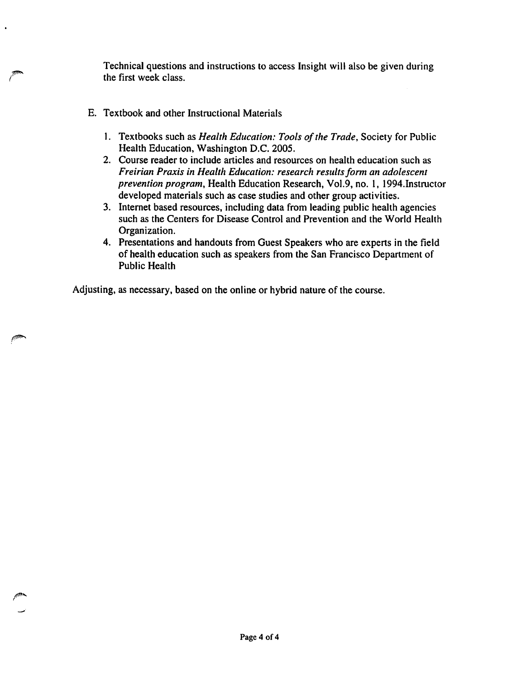Technical questions and instructions to access Insight will also be given during the first week class.

- E. Textbook and other Instructional Materials
	- 1. Textbooks such as *Health Education: Tools of the Trade*, Society for Public Health Education, Washington D.C. 2005.
	- 2. Course reader to include articles and resources on health education such as *Freirian Praxis in Health Education: research resultsform an adolescent prevention program,* Health Education Research, Vo1.9, no. I, 1994.Instructor developed materials such as case studies and other group activities.
	- 3. Internet based resources, including data from leading public health agencies such as the Centers for Disease Control and Prevention and the World Health Organization.
	- 4. Presentations and handouts from Guest Speakers who are experts in the field of health education such as speakers from the San Francisco Department of Public Health

Adjusting, as necessary, based on the online or hybrid nature of the course.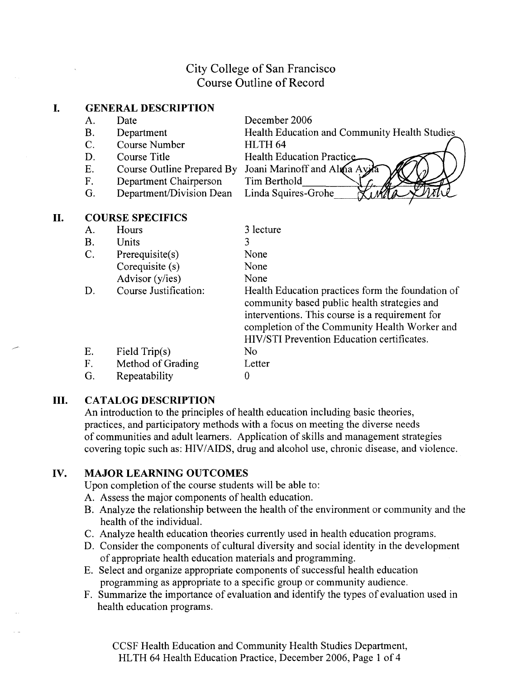## City College of San Francisco Course Outline of Record

#### I. **GENERAL DESCRIPTION**

A. Date

**II.**

- B. Department
- C. Course Number
- D. Course Title
- E. Course Outline Prepared By Joani Marinoff and Alma Ay
- F. Department Chairperson
- G. Department/Division Dean
- Tim Berthold Linda Squires-Grohe

HLTH 64

December 2006

Health Education Practic

Health Education and Community Health Studies

- 
- **COURSE SPECIFICS** A. Hours B. Units C. Prerequisite(s) Corequisite (s) Advisor (y/ies) D. Course Justification: E. Field Trip(s) F. Method of Grading G. Repeatability 3 lecture 3 None None None Health Education practices form the foundation of community based public health strategies and interventions. This course is a requirement for completion of the Community Health Worker and HIV*IS*TI Prevention Education certificates. No Letter  $\theta$

## **III. CATALOG DESCRIPTION**

An introduction to the principles of health education including basic theories, practices, and participatory methods with a focus on meeting the diverse needs of communities and adult learners. Application of skills and management strategies covering topic such as: HIV/AIDS, drug and alcohol use, chronic disease, and violence.

## **IV. MAJOR LEARNING OUTCOMES**

Upon completion of the course students will be able to:

- A. Assess the major components of health education.
- B. Analyze the relationship between the health of the environment or community and the health of the individual.
- C. Analyze health education theories currently used in health education programs.
- D. Consider the components of cultural diversity and social identity in the development of appropriate health education materials and programming.
- E. Select and organize appropriate components of successful health education programming as appropriate to a specific group or community audience.
- F. Summarize the importance of evaluation and identify the types of evaluation used in health education programs.

CCSF Health Education and Community Health Studies Department, HLTH 64 Health Education Practice, December 2006, Page 1 of 4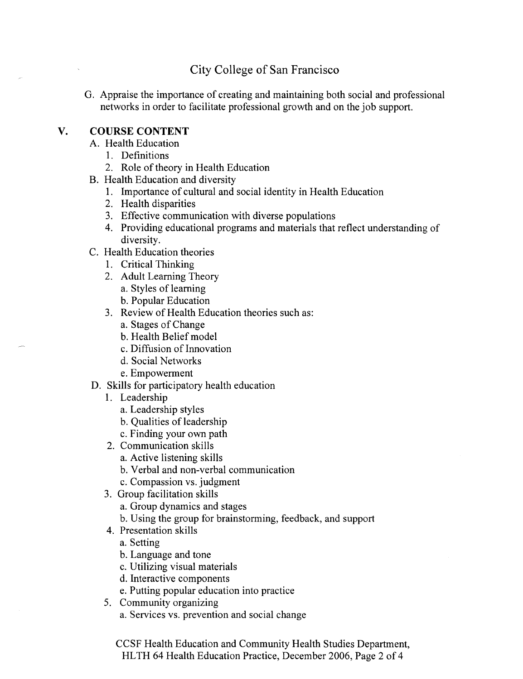# City College of San Francisco

G. Appraise the importance of creating and maintaining both social and professional networks in order to facilitate professional growth and on the job support.

## **V. COURSE CONTENT**

- A. Health Education
	- 1. Definitions
	- 2. Role of theory in Health Education
- B. Health Education and diversity
	- 1. Importance of cultural and social identity in Health Education
	- 2. Health disparities
	- 3. Effective communication with diverse populations
	- 4. Providing educational programs and materials that reflect understanding of diversity.
- C. Health Education theories
	- 1. Critical Thinking
	- 2. Adult Learning Theory a. Styles of learning
		- b. Popular Education
	- 3. Review of Health Education theories such as:
		- a. Stages of Change
		- b. Health Belief model
		- c. Diffusion of Innovation
		- d. Social Networks
		- e. Empowerment
- D. Skills for participatory health education
	- 1. Leadership
		- a. Leadership styles
		- b. Qualities of leadership
		- c. Finding your own path
	- 2. Communication skills
		- a. Active listening skills
		- b. Verbal and non-verbal communication
		- c. Compassion vs. judgment
	- 3. Group facilitation skills
		- a. Group dynamics and stages
		- b. Using the group for brainstorming, feedback, and support
	- 4. Presentation skills
		- a. Setting
		- b. Language and tone
		- c. Utilizing visual materials
		- d. Interactive components
		- e. Putting popular education into practice
	- 5. Community organizing
		- a. Services vs. prevention and social change

CCSF Health Education and Community Health Studies Department, HLTH 64 Health Education Practice, December 2006, Page 2 of 4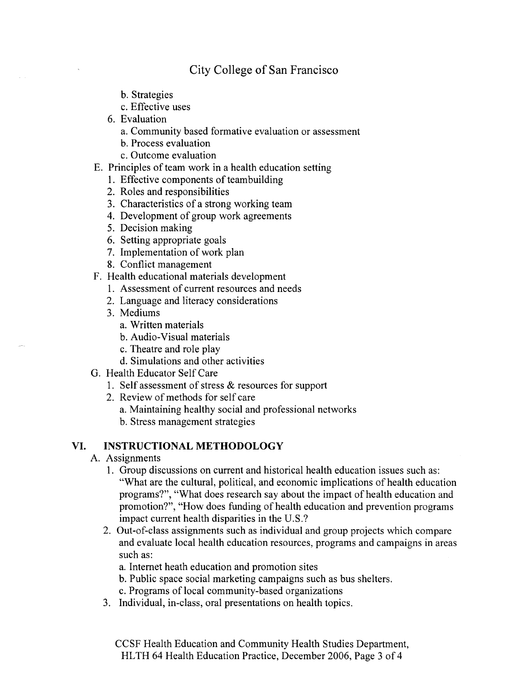## City College of San Francisco

- b. Strategies
- c. Effective uses
- 6. Evaluation
	- a. Community based formative evaluation or assessment
	- b. Process evaluation
	- c. Outcome evaluation
- E. Principles of team work in a health education setting
	- 1. Effective components of teambuilding
	- 2. Roles and responsibilities
	- 3. Characteristics of a strong working team
	- 4. Development of group work agreements
	- 5. Decision making
	- 6. Setting appropriate goals
	- 7. Implementation of work plan
	- 8. Conflict management
- F. Health educational materials development
	- 1. Assessment of current resources and needs
	- 2. Language and literacy considerations
	- 3. Mediums
		- a. Written materials
		- b. Audio-Visual materials
		- c. Theatre and role play
		- d. Simulations and other activities
- G. Health Educator Self Care
	- 1. Self assessment of stress  $&$  resources for support
	- 2. Review of methods for self care
		- a. Maintaining healthy social and professional networks
		- b. Stress management strategies

#### **VI. INSTRUCTIONAL METHODOLOGY**

- A. Assignments
	- 1. Group discussions on current and historical health education issues such as: "What are the cultural, political, and economic implications of health education programs?", "What does research say about the impact of health education and promotion?", "How does funding of health education and prevention programs impact current health disparities in the U.S.?
	- 2. Out-of-class assignments such as individual and group projects which compare and evaluate local health education resources, programs and campaigns in areas such as:
		- a. Internet heath education and promotion sites
		- b. Public space social marketing campaigns such as bus shelters.
		- c. Programs of local community-based organizations
	- 3. Individual, in-class, oral presentations on health topics.

CCSF Health Education and Community Health Studies Department, HLTH 64 Health Education Practice, December 2006, Page 3 of 4